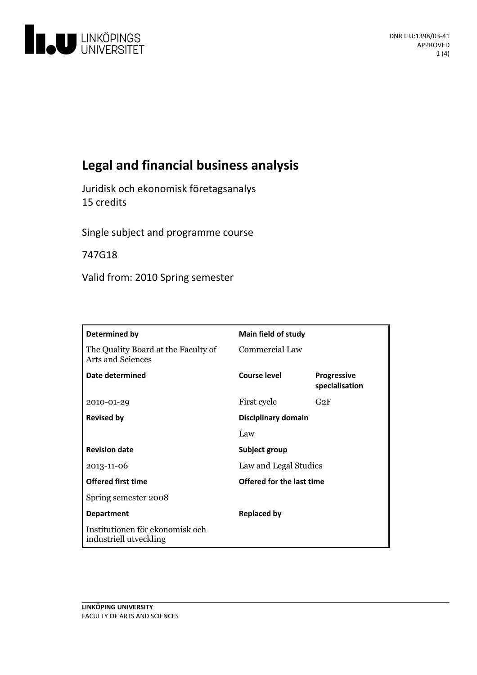

# **Legal and financial business analysis**

Juridisk och ekonomisk företagsanalys 15 credits

Single subject and programme course

747G18

Valid from: 2010 Spring semester

| Determined by                                                   | <b>Main field of study</b> |                                      |
|-----------------------------------------------------------------|----------------------------|--------------------------------------|
| The Quality Board at the Faculty of<br><b>Arts and Sciences</b> | <b>Commercial Law</b>      |                                      |
| Date determined                                                 | Course level               | <b>Progressive</b><br>specialisation |
| 2010-01-29                                                      | First cycle                | G2F                                  |
| <b>Revised by</b>                                               | Disciplinary domain        |                                      |
|                                                                 | Law                        |                                      |
| <b>Revision date</b>                                            | Subject group              |                                      |
| 2013-11-06                                                      | Law and Legal Studies      |                                      |
| <b>Offered first time</b>                                       | Offered for the last time  |                                      |
| Spring semester 2008                                            |                            |                                      |
| <b>Department</b>                                               | <b>Replaced by</b>         |                                      |
| Institutionen för ekonomisk och<br>industriell utveckling       |                            |                                      |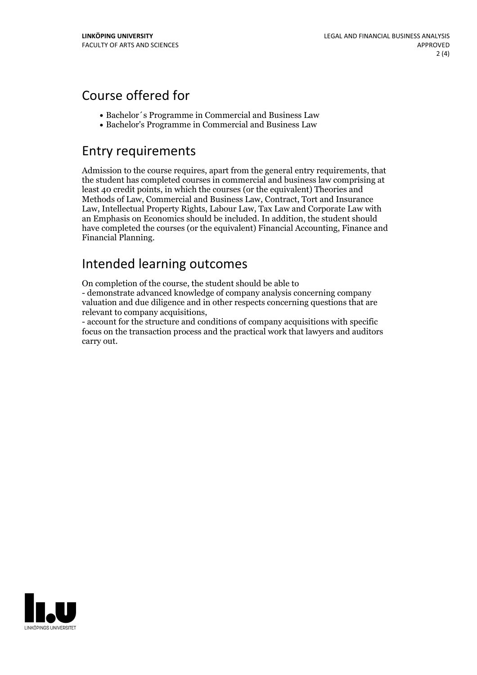## Course offered for

- Bachelor´s Programme in Commercial and Business Law
- Bachelor's Programme in Commercial and Business Law

## Entry requirements

Admission to the course requires, apart from the general entry requirements, that the student has completed courses in commercial and business law comprising at least 40 credit points, in which the courses (or the equivalent) Theories and Methods of Law, Commercial and Business Law, Contract, Tort and Insurance Law, Intellectual Property Rights, Labour Law, Tax Law and Corporate Law with an Emphasis on Economics should be included. In addition, the student should have completed the courses (or the equivalent) Financial Accounting, Finance and Financial Planning.

## Intended learning outcomes

On completion of the course, the student should be able to

- demonstrate advanced knowledge of company analysis concerning company valuation and due diligence and in other respects concerning questions that are relevant to company acquisitions, - account for the structure and conditions of company acquisitions with specific

focus on the transaction process and the practical work that lawyers and auditors carry out.

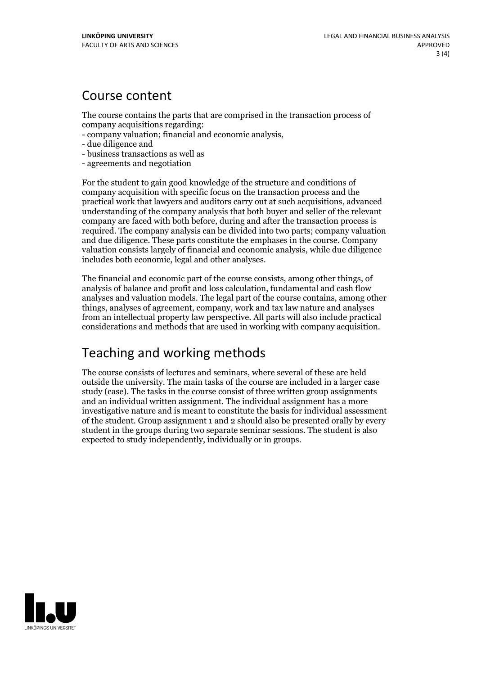#### Course content

The course contains the parts that are comprised in the transaction process of

- company acquisitions regarding: company valuation; financial and economic analysis, due diligence and
- 
- business transactions as well as
- agreements and negotiation

For the student to gain good knowledge of the structure and conditions of company acquisition with specific focus on the transaction process and the practical work that lawyers and auditors carry out at such acquisitions, advanced understanding of the company analysis that both buyer and seller of the relevant company are faced with both before, during and after the transaction process is required. The company analysis can be divided into two parts; company valuation and due diligence. These parts constitute the emphases in the course. Company valuation consists largely of financial and economic analysis, while due diligence includes both economic, legal and other analyses.

The financial and economic part of the course consists, among other things, of analysis of balance and profit and loss calculation, fundamental and cash flow analyses and valuation models. The legal part of the course contains, among other things, analyses of agreement, company, work and tax law nature and analyses from an intellectual property law perspective. All parts will also include practical considerations and methods that are used in working with company acquisition.

## Teaching and working methods

The course consists of lectures and seminars, where several of these are held outside the university. The main tasks of the course are included in a larger case study (case). The tasks in the course consist of three written group assignments and an individual written assignment. The individual assignment has a more investigative nature and is meant to constitute the basis for individual assessment of the student. Group assignment 1 and 2 should also be presented orally by every student in the groups during two separate seminar sessions. The student is also expected to study independently, individually or in groups.